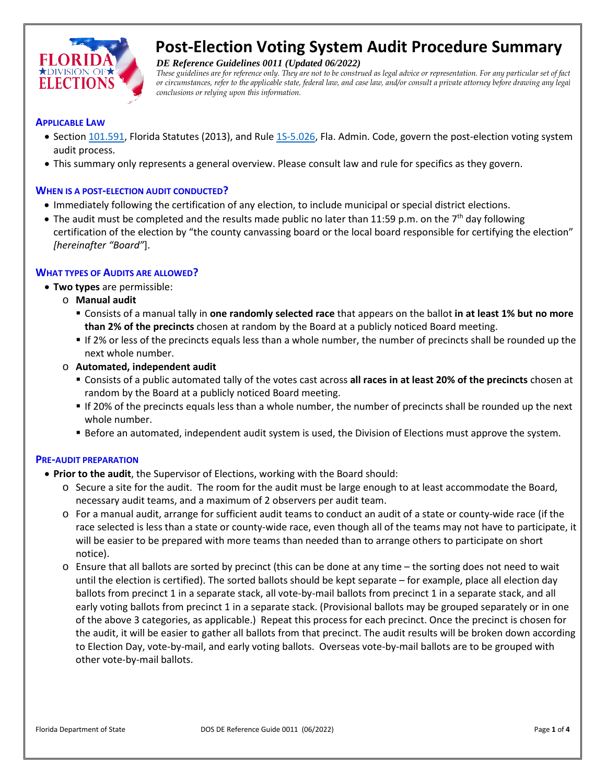

# **Post-Election Voting System Audit Procedure Summary**

*DE Reference Guidelines 0011 (Updated 06/2022)*

*These guidelines are for reference only. They are not to be construed as legal advice or representation. For any particular set of fact or circumstances, refer to the applicable state, federal law, and case law, and/or consult a private attorney before drawing any legal conclusions or relying upon this information.*

#### **APPLICABLE LAW**

- Sectio[n 101.591,](http://www.leg.state.fl.us/Statutes/index.cfm?App_mode=Display_Statute&Search_String=&URL=0100-0199/0101/Sections/0101.591.html) Florida Statutes (2013), and Rule [1S-5.026,](http://election.myflorida.com/rules/adopted-rules/pdf/1S5026.pdf) Fla. Admin. Code, govern the post-election voting system audit process.
- This summary only represents a general overview. Please consult law and rule for specifics as they govern.

#### **WHEN IS A POST-ELECTION AUDIT CONDUCTED?**

- Immediately following the certification of any election, to include municipal or special district elections.
- The audit must be completed and the results made public no later than 11:59 p.m. on the  $7<sup>th</sup>$  day following certification of the election by "the county canvassing board or the local board responsible for certifying the election" *[hereinafter "Board"*].

#### **WHAT TYPES OF AUDITS ARE ALLOWED?**

- **Two types** are permissible:
	- o **Manual audit**
		- Consists of a manual tally in **one randomly selected race** that appears on the ballot **in at least 1% but no more than 2% of the precincts** chosen at random by the Board at a publicly noticed Board meeting.
		- If 2% or less of the precincts equals less than a whole number, the number of precincts shall be rounded up the next whole number.
	- o **Automated, independent audit**
		- Consists of a public automated tally of the votes cast across **all races in at least 20% of the precincts** chosen at random by the Board at a publicly noticed Board meeting.
		- If 20% of the precincts equals less than a whole number, the number of precincts shall be rounded up the next whole number.
		- Before an automated, independent audit system is used, the Division of Elections must approve the system.

#### **PRE-AUDIT PREPARATION**

- **Prior to the audit**, the Supervisor of Elections, working with the Board should:
	- o Secure a site for the audit. The room for the audit must be large enough to at least accommodate the Board, necessary audit teams, and a maximum of 2 observers per audit team.
	- o For a manual audit, arrange for sufficient audit teams to conduct an audit of a state or county-wide race (if the race selected is less than a state or county-wide race, even though all of the teams may not have to participate, it will be easier to be prepared with more teams than needed than to arrange others to participate on short notice).
	- o Ensure that all ballots are sorted by precinct (this can be done at any time the sorting does not need to wait until the election is certified). The sorted ballots should be kept separate – for example, place all election day ballots from precinct 1 in a separate stack, all vote-by-mail ballots from precinct 1 in a separate stack, and all early voting ballots from precinct 1 in a separate stack. (Provisional ballots may be grouped separately or in one of the above 3 categories, as applicable.) Repeat this process for each precinct. Once the precinct is chosen for the audit, it will be easier to gather all ballots from that precinct. The audit results will be broken down according to Election Day, vote-by-mail, and early voting ballots. Overseas vote-by-mail ballots are to be grouped with other vote-by-mail ballots.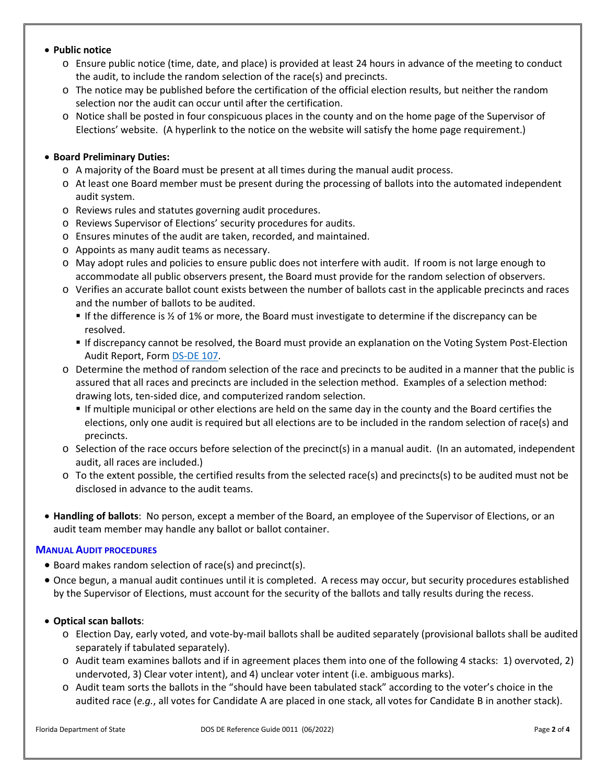## • **Public notice**

- o Ensure public notice (time, date, and place) is provided at least 24 hours in advance of the meeting to conduct the audit, to include the random selection of the race(s) and precincts.
- o The notice may be published before the certification of the official election results, but neither the random selection nor the audit can occur until after the certification.
- o Notice shall be posted in four conspicuous places in the county and on the home page of the Supervisor of Elections' website. (A hyperlink to the notice on the website will satisfy the home page requirement.)

## • **Board Preliminary Duties:**

- $\circ$  A majority of the Board must be present at all times during the manual audit process.
- o At least one Board member must be present during the processing of ballots into the automated independent audit system.
- o Reviews rules and statutes governing audit procedures.
- o Reviews Supervisor of Elections' security procedures for audits.
- o Ensures minutes of the audit are taken, recorded, and maintained.
- o Appoints as many audit teams as necessary.
- o May adopt rules and policies to ensure public does not interfere with audit. If room is not large enough to accommodate all public observers present, the Board must provide for the random selection of observers.
- o Verifies an accurate ballot count exists between the number of ballots cast in the applicable precincts and races and the number of ballots to be audited.
	- If the difference is ½ of 1% or more, the Board must investigate to determine if the discrepancy can be resolved.
	- If discrepancy cannot be resolved, the Board must provide an explanation on the Voting System Post-Election Audit Report, Form [DS-DE 107.](http://doedoe.dos.state.fl.us/rules/adopted-rules/pdf/DSDE107_Voting_Systems_Audit_Report-2013_amendment.pdf)
- o Determine the method of random selection of the race and precincts to be audited in a manner that the public is assured that all races and precincts are included in the selection method. Examples of a selection method: drawing lots, ten-sided dice, and computerized random selection.
	- If multiple municipal or other elections are held on the same day in the county and the Board certifies the elections, only one audit is required but all elections are to be included in the random selection of race(s) and precincts.
- $\circ$  Selection of the race occurs before selection of the precinct(s) in a manual audit. (In an automated, independent audit, all races are included.)
- o To the extent possible, the certified results from the selected race(s) and precincts(s) to be audited must not be disclosed in advance to the audit teams.
- **Handling of ballots**: No person, except a member of the Board, an employee of the Supervisor of Elections, or an audit team member may handle any ballot or ballot container.

## **MANUAL AUDIT PROCEDURES**

- Board makes random selection of race(s) and precinct(s).
- Once begun, a manual audit continues until it is completed. A recess may occur, but security procedures established by the Supervisor of Elections, must account for the security of the ballots and tally results during the recess.

## • **Optical scan ballots**:

- o Election Day, early voted, and vote-by-mail ballots shall be audited separately (provisional ballots shall be audited separately if tabulated separately).
- o Audit team examines ballots and if in agreement places them into one of the following 4 stacks: 1) overvoted, 2) undervoted, 3) Clear voter intent), and 4) unclear voter intent (i.e. ambiguous marks).
- o Audit team sorts the ballots in the "should have been tabulated stack" according to the voter's choice in the audited race (*e.g.*, all votes for Candidate A are placed in one stack, all votes for Candidate B in another stack).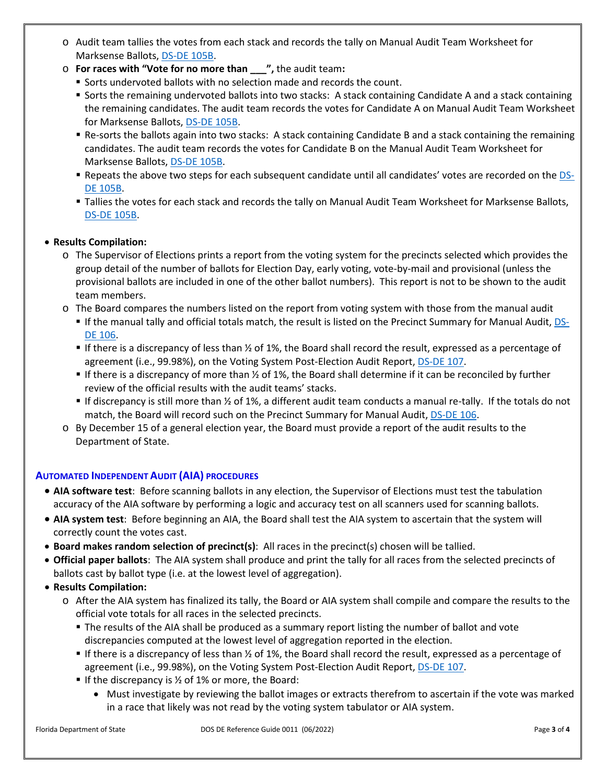- o Audit team tallies the votes from each stack and records the tally on Manual Audit Team Worksheet for Marksense Ballots, [DS-DE 105B.](http://doedoe.dos.state.fl.us/rules/adopted-rules/pdf/DSDE105B_Manual_Audit_Team_Worksheet-Marksense_Ballots.pdf)
- o **For races with "Vote for no more than \_\_\_",** the audit team**:**
	- Sorts undervoted ballots with no selection made and records the count.
	- Sorts the remaining undervoted ballots into two stacks: A stack containing Candidate A and a stack containing the remaining candidates. The audit team records the votes for Candidate A on Manual Audit Team Worksheet for Marksense Ballots[, DS-DE 105B.](http://doedoe.dos.state.fl.us/rules/adopted-rules/pdf/DSDE105B_Manual_Audit_Team_Worksheet-Marksense_Ballots.pdf)
	- Re-sorts the ballots again into two stacks: A stack containing Candidate B and a stack containing the remaining candidates. The audit team records the votes for Candidate B on the Manual Audit Team Worksheet for Marksense Ballots, [DS-DE 105B.](http://doedoe.dos.state.fl.us/rules/adopted-rules/pdf/DSDE105B_Manual_Audit_Team_Worksheet-Marksense_Ballots.pdf)
	- Repeats the above two steps for each subsequent candidate until all candidates' votes are recorded on the [DS-](http://doedoe.dos.state.fl.us/rules/adopted-rules/pdf/DSDE105B_Manual_Audit_Team_Worksheet-Marksense_Ballots.pdf)[DE 105B.](http://doedoe.dos.state.fl.us/rules/adopted-rules/pdf/DSDE105B_Manual_Audit_Team_Worksheet-Marksense_Ballots.pdf)
	- Tallies the votes for each stack and records the tally on Manual Audit Team Worksheet for Marksense Ballots, [DS-DE 105B.](http://doedoe.dos.state.fl.us/rules/adopted-rules/pdf/DSDE105B_Manual_Audit_Team_Worksheet-Marksense_Ballots.pdf)

## • **Results Compilation:**

- o The Supervisor of Elections prints a report from the voting system for the precincts selected which provides the group detail of the number of ballots for Election Day, early voting, vote-by-mail and provisional (unless the provisional ballots are included in one of the other ballot numbers). This report is not to be shown to the audit team members.
- o The Board compares the numbers listed on the report from voting system with those from the manual audit
	- If the manual tally and official totals match, the result is listed on the Precinct Summary for Manual Audit, [DS-](http://doedoe.dos.state.fl.us/rules/adopted-rules/pdf/DSDE106_Precinct_Summary-Manual_Audit_2013_amendments.pdf)[DE 106.](http://doedoe.dos.state.fl.us/rules/adopted-rules/pdf/DSDE106_Precinct_Summary-Manual_Audit_2013_amendments.pdf)
	- If there is a discrepancy of less than  $\frac{1}{2}$  of 1%, the Board shall record the result, expressed as a percentage of agreement (i.e., 99.98%), on the Voting System Post-Election Audit Report, [DS-DE 107.](http://doedoe.dos.state.fl.us/rules/adopted-rules/pdf/DSDE107_Voting_Systems_Audit_Report-2013_amendment.pdf)
	- If there is a discrepancy of more than  $\frac{1}{2}$  of 1%, the Board shall determine if it can be reconciled by further review of the official results with the audit teams' stacks.
	- If discrepancy is still more than  $\frac{1}{2}$  of 1%, a different audit team conducts a manual re-tally. If the totals do not match, the Board will record such on the Precinct Summary for Manual Audit, [DS-DE 106.](http://doedoe.dos.state.fl.us/rules/adopted-rules/pdf/DSDE106_Precinct_Summary-Manual_Audit_2013_amendments.pdf)
- o By December 15 of a general election year, the Board must provide a report of the audit results to the Department of State.

## **AUTOMATED INDEPENDENT AUDIT (AIA) PROCEDURES**

- **AIA software test**: Before scanning ballots in any election, the Supervisor of Elections must test the tabulation accuracy of the AIA software by performing a logic and accuracy test on all scanners used for scanning ballots.
- **AIA system test**: Before beginning an AIA, the Board shall test the AIA system to ascertain that the system will correctly count the votes cast.
- **Board makes random selection of precinct(s)**: All races in the precinct(s) chosen will be tallied.
- **Official paper ballots**: The AIA system shall produce and print the tally for all races from the selected precincts of ballots cast by ballot type (i.e. at the lowest level of aggregation).
- **Results Compilation:**
	- o After the AIA system has finalized its tally, the Board or AIA system shall compile and compare the results to the official vote totals for all races in the selected precincts.
		- The results of the AIA shall be produced as a summary report listing the number of ballot and vote discrepancies computed at the lowest level of aggregation reported in the election.
		- If there is a discrepancy of less than ½ of 1%, the Board shall record the result, expressed as a percentage of agreement (i.e., 99.98%), on the Voting System Post-Election Audit Report, [DS-DE 107.](http://doedoe.dos.state.fl.us/rules/adopted-rules/pdf/DSDE107_Voting_Systems_Audit_Report-2013_amendment.pdf)
		- If the discrepancy is  $\frac{1}{2}$  of 1% or more, the Board:
			- Must investigate by reviewing the ballot images or extracts therefrom to ascertain if the vote was marked in a race that likely was not read by the voting system tabulator or AIA system.